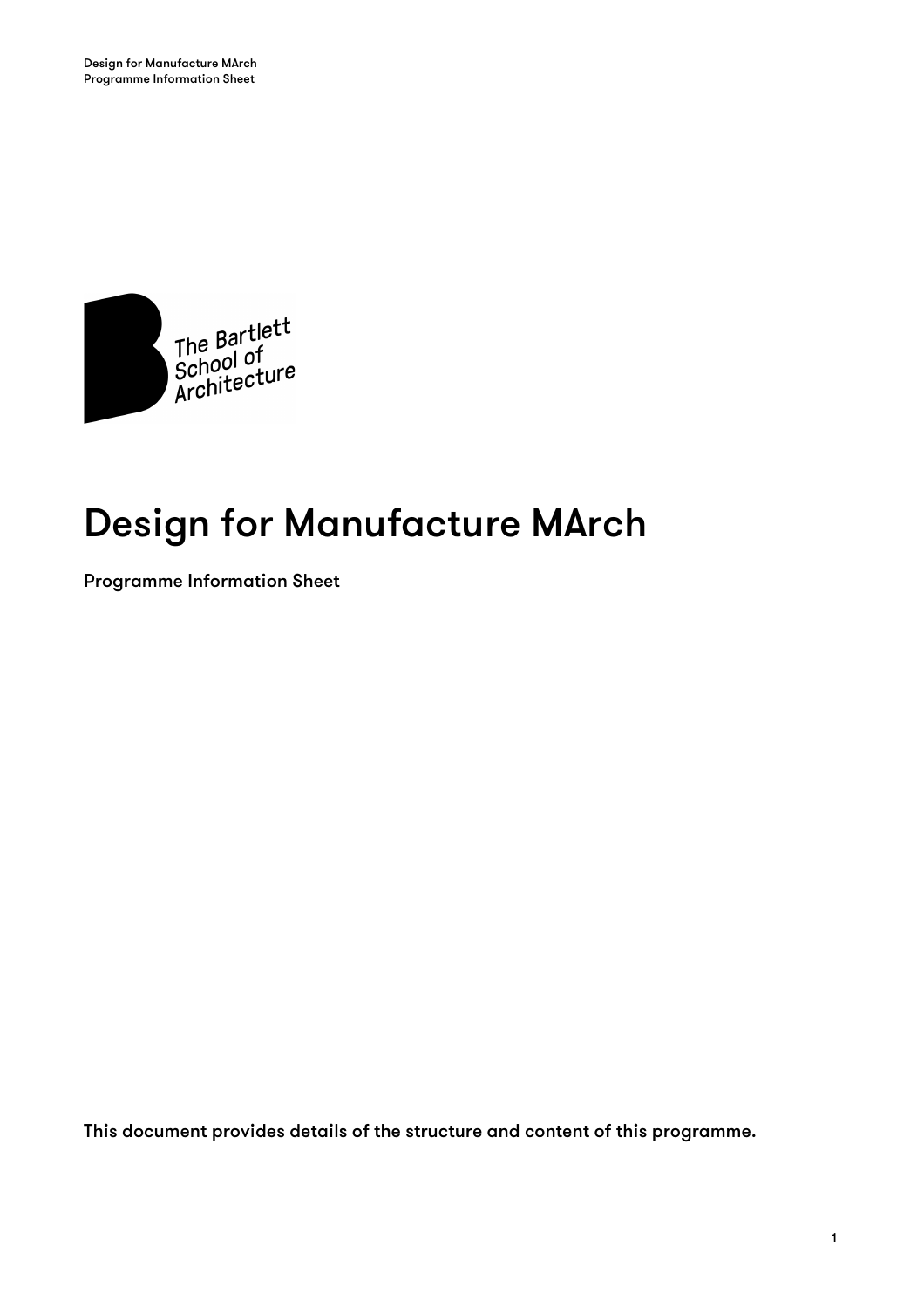

# Design for Manufacture MArch

Programme Information Sheet

This document provides details of the structure and content of this programme.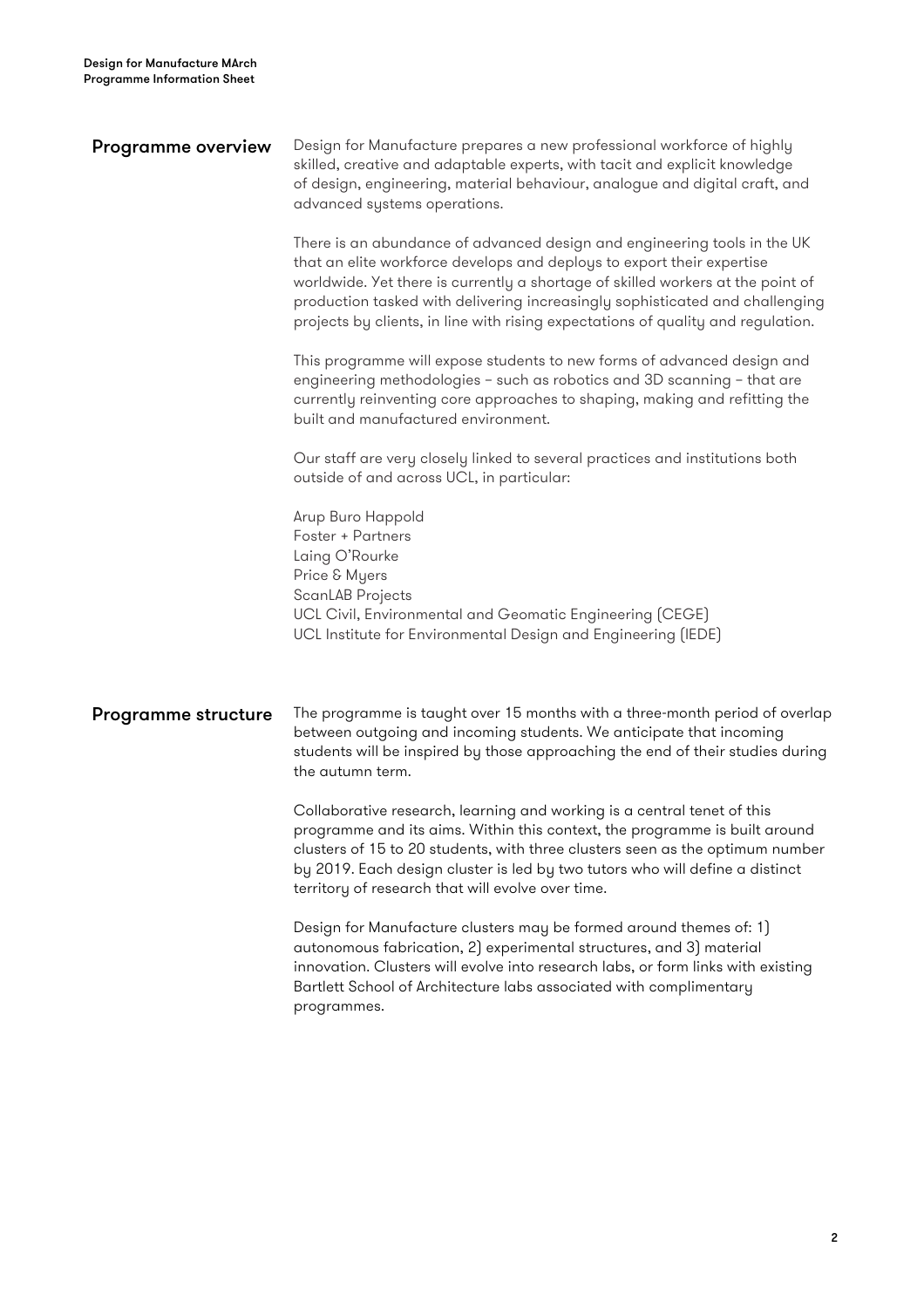| <b>Programme overview</b>  | Design for Manufacture prepares a new professional workforce of highly<br>skilled, creative and adaptable experts, with tacit and explicit knowledge<br>of design, engineering, material behaviour, analogue and digital craft, and<br>advanced systems operations.                                                                                                                                       |  |  |  |
|----------------------------|-----------------------------------------------------------------------------------------------------------------------------------------------------------------------------------------------------------------------------------------------------------------------------------------------------------------------------------------------------------------------------------------------------------|--|--|--|
|                            | There is an abundance of advanced design and engineering tools in the UK<br>that an elite workforce develops and deploys to export their expertise<br>worldwide. Yet there is currently a shortage of skilled workers at the point of<br>production tasked with delivering increasingly sophisticated and challenging<br>projects by clients, in line with rising expectations of quality and regulation. |  |  |  |
|                            | This programme will expose students to new forms of advanced design and<br>engineering methodologies - such as robotics and 3D scanning - that are<br>currently reinventing core approaches to shaping, making and refitting the<br>built and manufactured environment.                                                                                                                                   |  |  |  |
|                            | Our staff are very closely linked to several practices and institutions both<br>outside of and across UCL, in particular:                                                                                                                                                                                                                                                                                 |  |  |  |
|                            | Arup Buro Happold<br>Foster + Partners<br>Laing O'Rourke<br>Price & Myers<br>ScanLAB Projects<br>UCL Civil, Environmental and Geomatic Engineering (CEGE)<br>UCL Institute for Environmental Design and Engineering (IEDE)                                                                                                                                                                                |  |  |  |
| <b>Programme structure</b> | The programme is taught over 15 months with a three-month period of overlap<br>between outgoing and incoming students. We anticipate that incoming<br>students will be inspired by those approaching the end of their studies during<br>the autumn term.                                                                                                                                                  |  |  |  |
|                            | Collaborative research, learning and working is a central tenet of this<br>programme and its aims. Within this context, the programme is built around<br>clusters of 15 to 20 students, with three clusters seen as the optimum number<br>by 2019. Each design cluster is led by two tutors who will define a distinct<br>territory of research that will evolve over time.                               |  |  |  |
|                            | Design for Manufacture clusters may be formed around themes of: 1)<br>autonomous fabrication, 2) experimental structures, and 3) material<br>innovation. Clusters will evolve into research labs, or form links with existing<br>Bartlett School of Architecture labs associated with complimentary<br>programmes.                                                                                        |  |  |  |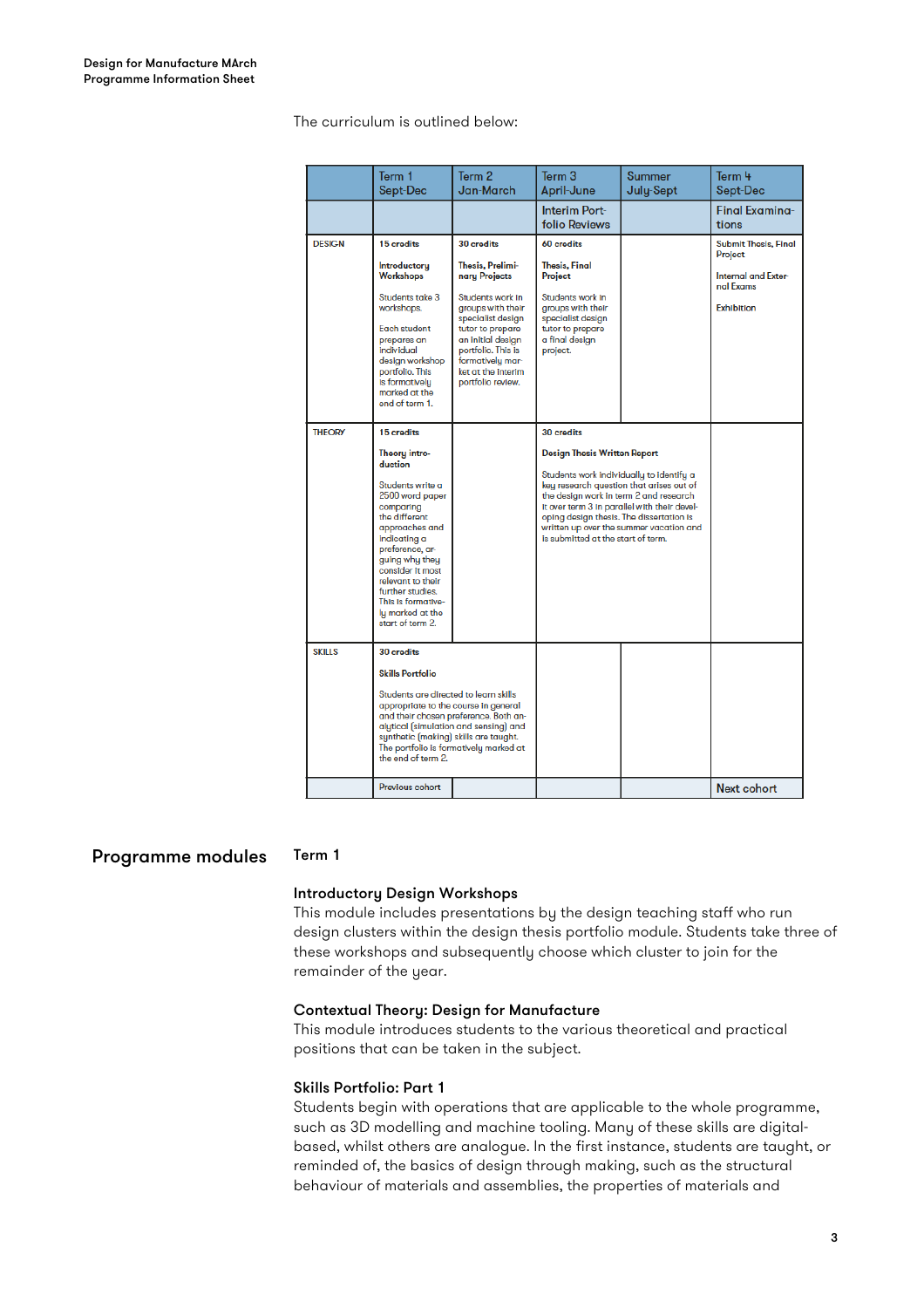#### The curriculum is outlined below:

|               | Term 1<br>Sept-Dec                                                                                                                                                                                                                                                                                                | Term 2<br><b>Jan-March</b>                                                                                                                                                                                                                  | Term <sub>3</sub><br>April-June                                                                                                                                                                                                                                                                                                                                  | <b>Summer</b><br>July-Sept | Term 4<br>Sept-Dec                                                                              |
|---------------|-------------------------------------------------------------------------------------------------------------------------------------------------------------------------------------------------------------------------------------------------------------------------------------------------------------------|---------------------------------------------------------------------------------------------------------------------------------------------------------------------------------------------------------------------------------------------|------------------------------------------------------------------------------------------------------------------------------------------------------------------------------------------------------------------------------------------------------------------------------------------------------------------------------------------------------------------|----------------------------|-------------------------------------------------------------------------------------------------|
|               |                                                                                                                                                                                                                                                                                                                   |                                                                                                                                                                                                                                             | <b>Interim Port-</b><br><b>folio Reviews</b>                                                                                                                                                                                                                                                                                                                     |                            | <b>Final Examina-</b><br>tions                                                                  |
| <b>DESIGN</b> | 15 credits<br>Introductory<br>Workshops<br>Students take 3<br>workshops.<br>Each student<br>prepares an<br>individual<br>design workshop<br>portfolio. This<br>is formatively<br>marked at the<br>end of term 1.                                                                                                  | 30 credits<br>Thesis, Prelimi-<br>nary Projects<br>Students work in<br>groups with their<br>specialist design<br>tutor to prepare<br>an initial design<br>portfolio. This is<br>formatively mar-<br>ket at the interim<br>portfolio review. | 60 credits<br><b>Thesis, Final</b><br>Project<br>Students work in<br>groups with their<br>specialist design<br>tutor to prepare<br>a final design<br>project.                                                                                                                                                                                                    |                            | <b>Submit Thesis, Final</b><br>Project<br>Internal and Exter-<br>nal Exams<br><b>Exhibition</b> |
| <b>THEORY</b> | 15 credits<br>Theory intro-<br>duction<br>Students write a<br>2500 word paper<br>comparing<br>the different<br>approaches and<br>indicating a<br>preference, ar-<br>guing why they<br>consider it most<br>relevant to their<br>further studies.<br>This is formative-<br>lu marked at the<br>start of term 2.     |                                                                                                                                                                                                                                             | 30 credits<br><b>Design Thesis Written Report</b><br>Students work individually to identify a<br>key research question that arises out of<br>the design work in term 2 and research<br>it over term 3 in parallel with their devel-<br>oping design thesis. The dissertation is<br>written up over the summer vacation and<br>is submitted at the start of term. |                            |                                                                                                 |
| <b>SKILLS</b> | 30 credits<br><b>Skills Portfolio</b><br>Students are directed to learn skills<br>appropriate to the course in general<br>and their chosen preference. Both an-<br>alytical (simulation and sensing) and<br>synthetic (making) skills are taught.<br>The portfolio is formatively marked at<br>the end of term 2. |                                                                                                                                                                                                                                             |                                                                                                                                                                                                                                                                                                                                                                  |                            |                                                                                                 |
|               | Previous cohort                                                                                                                                                                                                                                                                                                   |                                                                                                                                                                                                                                             |                                                                                                                                                                                                                                                                                                                                                                  |                            | <b>Next cohort</b>                                                                              |

# Programme modules Term 1

### Introductory Design Workshops

This module includes presentations by the design teaching staff who run design clusters within the design thesis portfolio module. Students take three of these workshops and subsequently choose which cluster to join for the remainder of the year.

#### Contextual Theory: Design for Manufacture

This module introduces students to the various theoretical and practical positions that can be taken in the subject.

#### Skills Portfolio: Part 1

Students begin with operations that are applicable to the whole programme, such as 3D modelling and machine tooling. Many of these skills are digitalbased, whilst others are analogue. In the first instance, students are taught, or reminded of, the basics of design through making, such as the structural behaviour of materials and assemblies, the properties of materials and